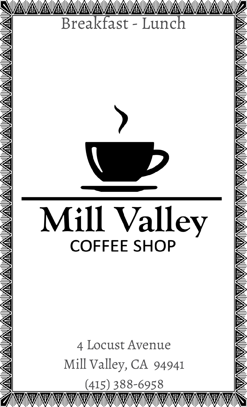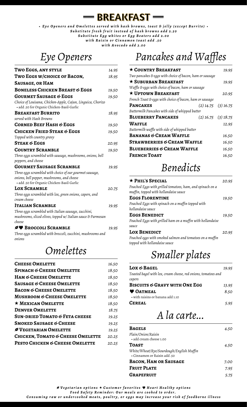*Eye Openers and Omelettes served with hash browns, toast & jelly (except Burrito) Substitute fresh fruit instead of hash browns add 2.50 Substitute Egg whites or Egg Beaters add 2.00 with Raisin or Cinnamon toast add .50 with Avocado add 3.00*

**BREAKFAST**

#### *Eye Openers*

| TWO EGGS, ANY STYLE                                                                                       | 14.95 |
|-----------------------------------------------------------------------------------------------------------|-------|
| Two Eggs w/choice of Bacon,                                                                               | 18.95 |
| <b>SAUSAGE, OR HAM</b>                                                                                    |       |
| <b>BONELESS CHICKEN BREAST &amp; EGGS</b>                                                                 | 19.50 |
| <b>GOURMET SAUSAGE &amp; EGGS</b>                                                                         | 19.50 |
| Choice of Louisana, Chicken-Apple, Cajun, Linguica, Chorizo<br>· add .50 for Organic Chicken-Basil-Garlic |       |
| <b>BREAKFAST BURRITO</b>                                                                                  | 18.95 |
| served with Hash Browns                                                                                   |       |
| <b>CORNED BEEF HASH &amp; EGGS</b>                                                                        | 19.50 |
| <b>CHICKEN FRIED STEAK &amp; EGGS</b>                                                                     | 19.50 |
| Topped with country gravy                                                                                 |       |
| <b>STEAK &amp; EGGS</b>                                                                                   | 20.95 |
| <b>COUNTRY SCRAMBLE</b>                                                                                   | 19.50 |
| Three eggs scrambled with sausage, mushrooms, onions, bell                                                |       |
| peppers, and cheese                                                                                       |       |
| <b>GOURMET SAUSAGE SCRAMBLE</b>                                                                           | 19.95 |
| Three eggs scrambled with choice of our gourmet sausage,                                                  |       |
| onions, bell pepper, mushrooms, and cheese<br>· add .50 for Organic Chicken-Basil-Garlic                  |       |
| <b>LOX SCRAMBLE</b>                                                                                       | 20.75 |
| Three eggs scrambled with lox, green onions, capers, and                                                  |       |
| cream cheese                                                                                              |       |
| <b>ITALIAN SCRAMBLE</b>                                                                                   | 19.95 |
| Three eggs scrambled with Italian sausage, zucchini,                                                      |       |
| mushrooms, sliced olives, topped w/ Italian sauce & Parmesan                                              |       |
| cheese                                                                                                    |       |
| $\mathscr{D}\blacktriangleright$ Broccoli Scramble                                                        | 19.95 |
| Three eggs scrambled with broccoli, zucchini, mushrooms and                                               |       |
| onions                                                                                                    |       |

#### *Omelettes*

| 16.50 |
|-------|
| 18.50 |
| 18.50 |
| 18.50 |
| 18.50 |
| 18.50 |
| 18.50 |
| 18.75 |
| 19.25 |
| 19.25 |
| 19.25 |
| 20.25 |
| 20.25 |
|       |

# *Pancakes and Waffles*

| $\star$ COUNTRY BREAKFAST                                |  | 19.95                   |
|----------------------------------------------------------|--|-------------------------|
| Two pancakes & eggs with choice of bacon, ham or sausage |  |                         |
| $\star$ Suburban Breakfast                               |  | 19.95                   |
| Waffle & eggs with choice of bacon, ham or sausage       |  |                         |
| $\star$ UPTOWN BREAKFAST                                 |  | 20.95                   |
| French Toast & eggs with choice of bacon, ham or sausage |  |                         |
| <b>PANCAKES</b>                                          |  | $(2)$ 14.75 $(3)$ 16.75 |
| Buttermilk Pancakes with side of whipped butter          |  |                         |
| <b>BLUEBERRY PANCAKES</b>                                |  | $(2)$ 16.75 $(3)$ 18.75 |
| WAFFLE                                                   |  | 12.95                   |
| Buttermilk waffle with side of whipped butter            |  |                         |
| <b>BANANAS &amp; CREAM WAFFLE</b>                        |  | 16.50                   |
| <b>STRAWBERRIES &amp; CREAM WAFFLE</b>                   |  | 16.50                   |
| <b>BLUEBERRIES &amp; CREAM WAFFLE</b>                    |  | 16.50                   |
| <b>FRENCH TOAST</b>                                      |  | 16.50                   |

### *Benedicts*

| $\star$ PHIL'S SPECIAL                                     | 20.95 |
|------------------------------------------------------------|-------|
| Poached Eggs with grilled tomatoes, ham, and spinach on a  |       |
| muffin, topped with hollandaise sauce                      |       |
| <b>EGGS FLORENTINE</b>                                     | 19.50 |
| Poached Eggs with spinach on a muffin topped with          |       |
| hollandaise sauce                                          |       |
| EGGS BENEDICT                                              | 19.50 |
| Poached Eggs with grilled ham on a muffin with hollandaise |       |
| sauce                                                      |       |
| <b>LOX BENEDICT</b>                                        | 20.95 |
| Poached eggs with smoked salmon and tomatoes on a muffin   |       |
| topped with hollandaise sauce                              |       |

# *Smaller plates*

| <b>LOX &amp; BAGEL</b>                                         | 19.95 |
|----------------------------------------------------------------|-------|
| Toasted bagel with lox, cream cheese, red onions, tomatoes and |       |
| capers                                                         |       |
| <b>BISCUITS &amp; GRAVY WITH ONE EGG</b>                       | 13.95 |
| <b>V OATMEAL</b>                                               | 8.50  |
| • with raisins or banana add 1.10                              |       |
| <b>CEREAL</b>                                                  | 5.95  |
|                                                                |       |

*A la carte...*

| <b>BAGELS</b>                                                            | 4.50 |
|--------------------------------------------------------------------------|------|
| Plain/Onion/Raisin                                                       |      |
| · add cream cheese 1.00                                                  |      |
| TOAST                                                                    | 4.50 |
| White/Wheat/Rye/Sourdough/English Muffin<br>• Cinnamon or Raisin add .50 |      |
| <b>BACON, HAM OR SAUSAGE</b>                                             | 7.00 |
| <b>FRUIT PLATE</b>                                                       | 7.95 |
| <b>GRAPEFRUIT</b>                                                        | 5.75 |

4 *Vegetarian options* c *Customer favorites* Ÿ *Heart Healthy options*

*Food Safety Reminder: Our meals are cooked to order.* 

*Consuming raw or undercooked meats, poultry, or eggs may increase your risk of foodborne illness*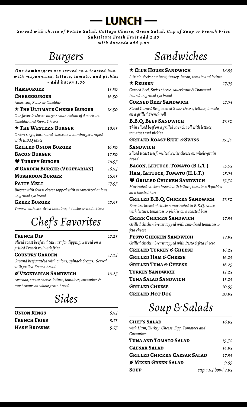

*Served with choice of Potato Salad, Cottage Cheese, Green Salad, Cup of Soup or French Fries Substitute Fresh Fruit add 2.50 with Avocado add 3.00*

# *Burgers*

| Our hamburgers are served on a toasted bun                                      |       |
|---------------------------------------------------------------------------------|-------|
| with mayonnaise, lettuce, tomato, and pickles<br>- Add bacon 3.00               |       |
| <b>HAMBURGER</b>                                                                | 15.50 |
| <b>CHEESEBURGER</b>                                                             | 16.50 |
| American, Swiss or Cheddar                                                      |       |
| $\star$ The ULTIMATE CHEESE BURGER                                              | 18.50 |
| Our favorite cheese burger combination of American,<br>Cheddar and Swiss Cheese |       |
| $\star$ The Western Burger                                                      | 18.95 |
| Onion rings, bacon and cheese on a hamburger draped<br>with B.B.Q sauce         |       |
| <b>GRILLED ONION BURGER</b>                                                     | 16.50 |
| <b>BACON BURGER</b>                                                             | 17.50 |
| <b>V</b> TURKEY BURGER                                                          | 16.95 |
| GARDEN BURGER (VEGETARIAN)                                                      | 16.95 |
| <b>MUSHROOM BURGER</b>                                                          | 16.95 |
| PATTY MELT                                                                      | 17.95 |
| Burger with Swiss cheese topped with caramelized onions<br>on grilled rye bread |       |
| <b>GREEK BURGER</b>                                                             | 17.95 |
| Topped with sun-dried tomatoes, feta cheese and lettuce                         |       |
| Chef's Favorites                                                                |       |
| Foency Did                                                                      |       |

| <b>FRENCH DIP</b>                                                                         | 17.25 |
|-------------------------------------------------------------------------------------------|-------|
| Sliced roast beef and "Au Jus" for dipping. Served on a<br>grilled French roll with fries |       |
| <b>COUNTRY GARDEN</b>                                                                     | 17.25 |
| Ground beef sautéed with onions, spinach & eggs. Served<br>with grilled French bread.     |       |
| <b><i>S</i></b> VEGETARIAN SANDWICH                                                       | 16.25 |
| Avocado, cream cheese, lettuce, tomatoes, cucumber &<br>mushrooms on whole grain bread    |       |

### *Sides*

| <b>ONION RINGS</b>  | 6.95 |
|---------------------|------|
| <b>FRENCH FRIES</b> | 5.75 |
| <b>HASH BROWNS</b>  | 5.75 |

# *Sandwiches*

| $\star$ CLUB HOUSE SANDWICH                                                          | 18.95 |
|--------------------------------------------------------------------------------------|-------|
| A triple-decker on toast, turkey, bacon, tomato and lettuce                          |       |
| $\star$ Reuben                                                                       | 17.75 |
| Corned Beef, Swiss cheese, sauerkraut & Thousand                                     |       |
| Island on grilled rye bread                                                          |       |
| <b>CORNED BEEF SANDWICH</b>                                                          | 17.75 |
| Sliced Corned Beef, melted Swiss cheese, lettuce, tomato<br>on a grilled French roll |       |
| <b>B.B.Q. BEEF SANDWICH</b>                                                          | 17.50 |
| Thin sliced beef on a grilled French roll with lettuce,<br>tomatoes and pickles      |       |
| <b>GRILLED ROAST BEEF &amp; SWISS</b>                                                | 17.50 |
| <b>SANDWICH</b>                                                                      |       |
| Sliced Roast Beef, melted Swiss cheese on whole-grain<br>bread                       |       |
| BACON, LETTUCE, TOMATO (B.L.T.)                                                      | 15.75 |
| HAM, LETTUCE, TOMATO (H.L.T.)                                                        | 15.75 |
| <b>CRILLED CHICKEN SANDWICH</b>                                                      | 17.50 |
| Marinated chicken breast with lettuce, tomatoes & pickles<br>on a toasted bun        |       |
| <b>GRILLED B.B.Q. CHICKEN SANDWICH</b>                                               | 17.50 |
| Boneless breast of chicken marinated in B.B.Q. sauce                                 |       |
| with lettuce, tomatoes & pickles on a toasted bun                                    |       |
| <b>GREEK CHICKEN SANDWICH</b>                                                        | 17.95 |
| Grilled chicken breast topped with sun-dried tomatoes $\epsilon$                     |       |
| feta cheese                                                                          |       |
| PESTO CHICKEN SANDWICH                                                               | 17.95 |
| Grilled chicken breast topped with Pesto & feta cheese                               |       |
| <b>GRILLED TURKEY &amp; CHEESE</b>                                                   | 16.25 |
| <b>GRILLED HAM &amp; CHEESE</b>                                                      | 16.25 |
| <b>GRILLED TUNA &amp; CHEESE</b>                                                     | 16.25 |
| <b>TURKEY SANDWICH</b>                                                               | 15.25 |
| TUNA SALAD SANDWICH                                                                  | 15.25 |
|                                                                                      |       |
| <b>GRILLED CHEESE</b>                                                                | 10.95 |

## *Soup & Salads*

| <b>CHEF'S SALAD</b>                         | 16.95              |
|---------------------------------------------|--------------------|
| with Ham, Turkey, Cheese, Egg, Tomatoes and |                    |
| Cucumber                                    |                    |
| TUNA AND TOMATO SALAD                       | 15.50              |
| <b>CAESAR SALAD</b>                         | 14.95              |
| <b>GRILLED CHICKEN CAESAR SALAD</b>         | 17.95              |
| MIXED GREEN SALAD                           | 9.95               |
| Soup                                        | cup 4.95 bowl 7.95 |